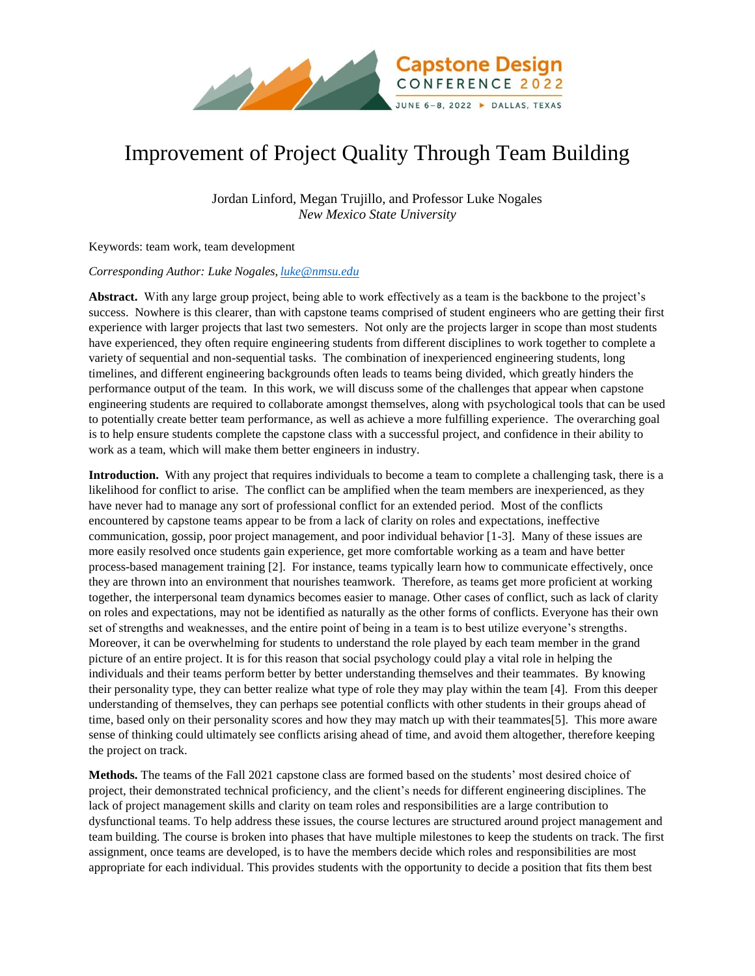

## Improvement of Project Quality Through Team Building

Jordan Linford, Megan Trujillo, and Professor Luke Nogales *New Mexico State University*

Keywords: team work, team development

## *Corresponding Author: Luke Nogales, [luke@nmsu.edu](mailto:luke@nmsu.edu)*

**Abstract.** With any large group project, being able to work effectively as a team is the backbone to the project's success. Nowhere is this clearer, than with capstone teams comprised of student engineers who are getting their first experience with larger projects that last two semesters. Not only are the projects larger in scope than most students have experienced, they often require engineering students from different disciplines to work together to complete a variety of sequential and non-sequential tasks. The combination of inexperienced engineering students, long timelines, and different engineering backgrounds often leads to teams being divided, which greatly hinders the performance output of the team. In this work, we will discuss some of the challenges that appear when capstone engineering students are required to collaborate amongst themselves, along with psychological tools that can be used to potentially create better team performance, as well as achieve a more fulfilling experience. The overarching goal is to help ensure students complete the capstone class with a successful project, and confidence in their ability to work as a team, which will make them better engineers in industry.

**Introduction.** With any project that requires individuals to become a team to complete a challenging task, there is a likelihood for conflict to arise. The conflict can be amplified when the team members are inexperienced, as they have never had to manage any sort of professional conflict for an extended period. Most of the conflicts encountered by capstone teams appear to be from a lack of clarity on roles and expectations, ineffective communication, gossip, poor project management, and poor individual behavior [1-3]. Many of these issues are more easily resolved once students gain experience, get more comfortable working as a team and have better process-based management training [2]. For instance, teams typically learn how to communicate effectively, once they are thrown into an environment that nourishes teamwork. Therefore, as teams get more proficient at working together, the interpersonal team dynamics becomes easier to manage. Other cases of conflict, such as lack of clarity on roles and expectations, may not be identified as naturally as the other forms of conflicts. Everyone has their own set of strengths and weaknesses, and the entire point of being in a team is to best utilize everyone's strengths. Moreover, it can be overwhelming for students to understand the role played by each team member in the grand picture of an entire project. It is for this reason that social psychology could play a vital role in helping the individuals and their teams perform better by better understanding themselves and their teammates. By knowing their personality type, they can better realize what type of role they may play within the team [4]. From this deeper understanding of themselves, they can perhaps see potential conflicts with other students in their groups ahead of time, based only on their personality scores and how they may match up with their teammates[5]. This more aware sense of thinking could ultimately see conflicts arising ahead of time, and avoid them altogether, therefore keeping the project on track.

**Methods.** The teams of the Fall 2021 capstone class are formed based on the students' most desired choice of project, their demonstrated technical proficiency, and the client's needs for different engineering disciplines. The lack of project management skills and clarity on team roles and responsibilities are a large contribution to dysfunctional teams. To help address these issues, the course lectures are structured around project management and team building. The course is broken into phases that have multiple milestones to keep the students on track. The first assignment, once teams are developed, is to have the members decide which roles and responsibilities are most appropriate for each individual. This provides students with the opportunity to decide a position that fits them best